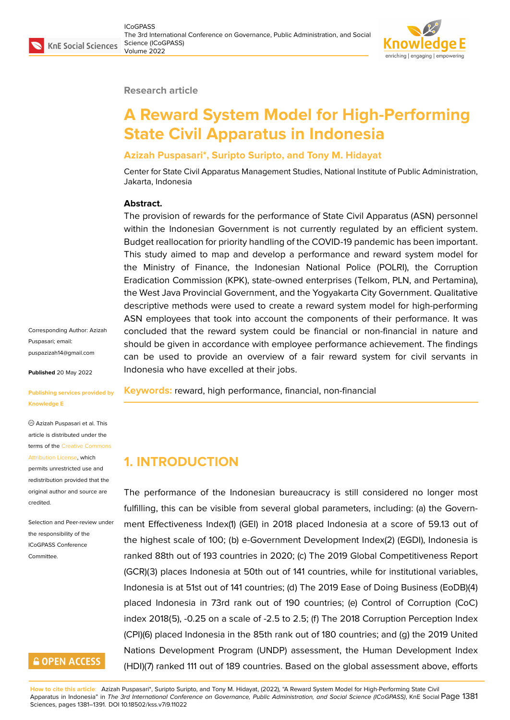#### **Research article**

# **A Reward System Model for High-Performing State Civil Apparatus in Indonesia**

### **Azizah Puspasari\*, Suripto Suripto, and Tony M. Hidayat**

Center for State Civil Apparatus Management Studies, National Institute of Public Administration, Jakarta, Indonesia

#### **Abstract.**

The provision of rewards for the performance of State Civil Apparatus (ASN) personnel within the Indonesian Government is not currently regulated by an efficient system. Budget reallocation for priority handling of the COVID-19 pandemic has been important. This study aimed to map and develop a performance and reward system model for the Ministry of Finance, the Indonesian National Police (POLRI), the Corruption Eradication Commission (KPK), state-owned enterprises (Telkom, PLN, and Pertamina), the West Java Provincial Government, and the Yogyakarta City Government. Qualitative descriptive methods were used to create a reward system model for high-performing ASN employees that took into account the components of their performance. It was concluded that the reward system could be financial or non-financial in nature and should be given in accordance with employee performance achievement. The findings can be used to provide an overview of a fair reward system for civil servants in Indonesia who have excelled at their jobs.

**Keywords:** reward, high performance, financial, non-financial

### **1. INTRODUCTION**

The performance of the Indonesian bureaucracy is still considered no longer most fulfilling, this can be visible from several global parameters, including: (a) the Government Effectiveness Index(1) (GEI) in 2018 placed Indonesia at a score of 59.13 out of the highest scale of 100; (b) e-Government Development Index(2) (EGDI), Indonesia is ranked 88th out of 193 countries in 2020; (c) The 2019 Global Competitiveness Report (GCR)(3) places Indonesia at 50th out of 141 countries, while for institutional variables, Indonesia is at 51st out of 141 countries; (d) The 2019 Ease of Doing Business (EoDB)(4) placed Indonesia in 73rd rank out of 190 countries; (e) Control of Corruption (CoC) index 2018(5), -0.25 on a scale of -2.5 to 2.5; (f) The 2018 Corruption Perception Index (CPI)(6) placed Indonesia in the 85th rank out of 180 countries; and (g) the 2019 United Nations Development Program (UNDP) assessment, the Human Development Index (HDI)(7) ranked 111 out of 189 countries. Based on the global assessment above, efforts

**How to cite this article**: Azizah Puspasari\*, Suripto Suripto, and Tony M. Hidayat, (2022), "A Reward System Model for High-Performing State Civil Apparatus in Indonesia" in *The 3rd International Conference on Governance, Public Administration, and Social Science (ICoGPASS)*, KnE Social Page 1381 Sciences, pages 1381–1391. DOI 10.18502/kss.v7i9.11022

Corresponding Author: Azizah Puspasari; email: puspazizah14@gmail.com

**Published** 20 May 2022

**[Publishing services provi](mailto:puspazizah14@gmail.com)ded by Knowledge E**

Azizah Puspasari et al. This article is distributed under the terms of the Creative Commons

Attribution License, which permits unrestricted use and redistribution provided that the original auth[or and source are](https://creativecommons.org/licenses/by/4.0/) [credited.](https://creativecommons.org/licenses/by/4.0/)

Selection and Peer-review under the responsibility of the ICoGPASS Conference Committee.

### **GOPEN ACCESS**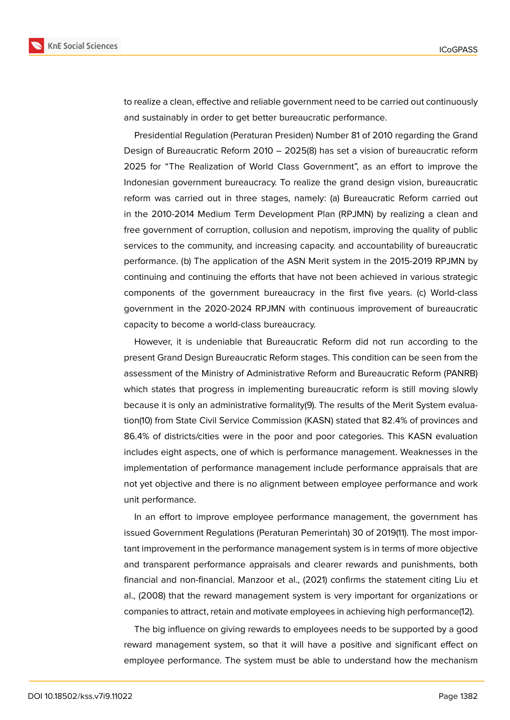

to realize a clean, effective and reliable government need to be carried out continuously and sustainably in order to get better bureaucratic performance.

Presidential Regulation (Peraturan Presiden) Number 81 of 2010 regarding the Grand Design of Bureaucratic Reform 2010 – 2025(8) has set a vision of bureaucratic reform 2025 for "The Realization of World Class Government", as an effort to improve the Indonesian government bureaucracy. To realize the grand design vision, bureaucratic reform was carried out in three stages, namely: (a) Bureaucratic Reform carried out in the 2010-2014 Medium Term Development Plan (RPJMN) by realizing a clean and free government of corruption, collusion and nepotism, improving the quality of public services to the community, and increasing capacity. and accountability of bureaucratic performance. (b) The application of the ASN Merit system in the 2015-2019 RPJMN by continuing and continuing the efforts that have not been achieved in various strategic components of the government bureaucracy in the first five years. (c) World-class government in the 2020-2024 RPJMN with continuous improvement of bureaucratic capacity to become a world-class bureaucracy.

However, it is undeniable that Bureaucratic Reform did not run according to the present Grand Design Bureaucratic Reform stages. This condition can be seen from the assessment of the Ministry of Administrative Reform and Bureaucratic Reform (PANRB) which states that progress in implementing bureaucratic reform is still moving slowly because it is only an administrative formality(9). The results of the Merit System evaluation(10) from State Civil Service Commission (KASN) stated that 82.4% of provinces and 86.4% of districts/cities were in the poor and poor categories. This KASN evaluation includes eight aspects, one of which is performance management. Weaknesses in the implementation of performance management include performance appraisals that are not yet objective and there is no alignment between employee performance and work unit performance.

In an effort to improve employee performance management, the government has issued Government Regulations (Peraturan Pemerintah) 30 of 2019(11). The most important improvement in the performance management system is in terms of more objective and transparent performance appraisals and clearer rewards and punishments, both financial and non-financial. Manzoor et al., (2021) confirms the statement citing Liu et al., (2008) that the reward management system is very important for organizations or companies to attract, retain and motivate employees in achieving high performance(12).

The big influence on giving rewards to employees needs to be supported by a good reward management system, so that it will have a positive and significant effect on employee performance. The system must be able to understand how the mechanism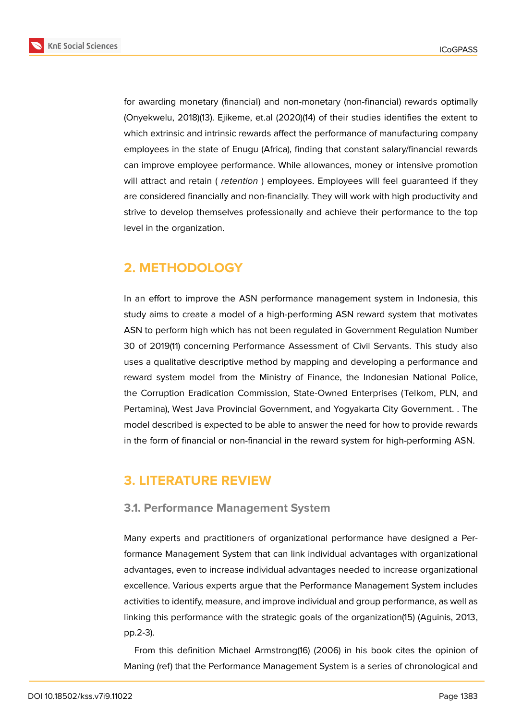**KnE Social Sciences** 



for awarding monetary (financial) and non-monetary (non-financial) rewards optimally (Onyekwelu, 2018)(13). Ejikeme, et.al (2020)(14) of their studies identifies the extent to which extrinsic and intrinsic rewards affect the performance of manufacturing company employees in the state of Enugu (Africa), finding that constant salary/financial rewards can improve employee performance. While allowances, money or intensive promotion will attract and retain ( *retention* ) employees. Employees will feel guaranteed if they are considered financially and non-financially. They will work with high productivity and strive to develop themselves professionally and achieve their performance to the top level in the organization.

# **2. METHODOLOGY**

In an effort to improve the ASN performance management system in Indonesia, this study aims to create a model of a high-performing ASN reward system that motivates ASN to perform high which has not been regulated in Government Regulation Number 30 of 2019(11) concerning Performance Assessment of Civil Servants. This study also uses a qualitative descriptive method by mapping and developing a performance and reward system model from the Ministry of Finance, the Indonesian National Police, the Corruption Eradication Commission, State-Owned Enterprises (Telkom, PLN, and Pertamina), West Java Provincial Government, and Yogyakarta City Government. . The model described is expected to be able to answer the need for how to provide rewards in the form of financial or non-financial in the reward system for high-performing ASN.

### **3. LITERATURE REVIEW**

### **3.1. Performance Management System**

Many experts and practitioners of organizational performance have designed a Performance Management System that can link individual advantages with organizational advantages, even to increase individual advantages needed to increase organizational excellence. Various experts argue that the Performance Management System includes activities to identify, measure, and improve individual and group performance, as well as linking this performance with the strategic goals of the organization(15) (Aguinis, 2013, pp.2-3).

From this definition Michael Armstrong(16) (2006) in his book cites the opinion of Maning (ref) that the Performance Management System is a series of chronological and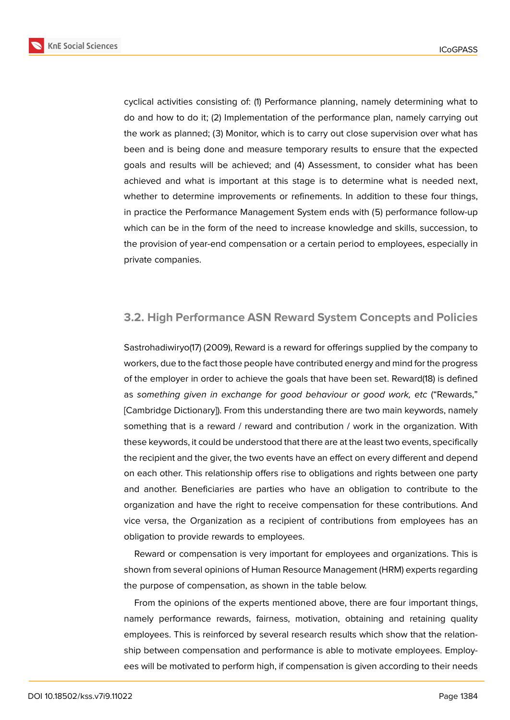**KnE Social Sciences** 



cyclical activities consisting of: (1) Performance planning, namely determining what to do and how to do it; (2) Implementation of the performance plan, namely carrying out the work as planned; (3) Monitor, which is to carry out close supervision over what has been and is being done and measure temporary results to ensure that the expected goals and results will be achieved; and (4) Assessment, to consider what has been achieved and what is important at this stage is to determine what is needed next, whether to determine improvements or refinements. In addition to these four things, in practice the Performance Management System ends with (5) performance follow-up which can be in the form of the need to increase knowledge and skills, succession, to the provision of year-end compensation or a certain period to employees, especially in private companies.

### **3.2. High Performance ASN Reward System Concepts and Policies**

Sastrohadiwiryo(17) (2009), Reward is a reward for offerings supplied by the company to workers, due to the fact those people have contributed energy and mind for the progress of the employer in order to achieve the goals that have been set. Reward(18) is defined as *something given in exchange for good behaviour or good work, etc* ("Rewards," [Cambridge Dictionary]). From this understanding there are two main keywords, namely something that is a reward / reward and contribution / work in the organization. With these keywords, it could be understood that there are at the least two events, specifically the recipient and the giver, the two events have an effect on every different and depend on each other. This relationship offers rise to obligations and rights between one party and another. Beneficiaries are parties who have an obligation to contribute to the organization and have the right to receive compensation for these contributions. And vice versa, the Organization as a recipient of contributions from employees has an obligation to provide rewards to employees.

Reward or compensation is very important for employees and organizations. This is shown from several opinions of Human Resource Management (HRM) experts regarding the purpose of compensation, as shown in the table below.

From the opinions of the experts mentioned above, there are four important things, namely performance rewards, fairness, motivation, obtaining and retaining quality employees. This is reinforced by several research results which show that the relationship between compensation and performance is able to motivate employees. Employees will be motivated to perform high, if compensation is given according to their needs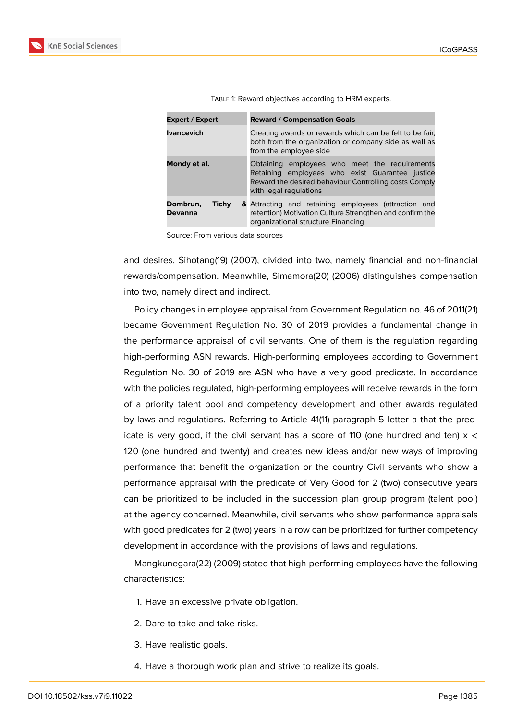| <b>Expert / Expert</b>              | <b>Reward / Compensation Goals</b>                                                                                                                                                  |  |  |  |
|-------------------------------------|-------------------------------------------------------------------------------------------------------------------------------------------------------------------------------------|--|--|--|
| <b>Ivancevich</b>                   | Creating awards or rewards which can be felt to be fair,<br>both from the organization or company side as well as<br>from the employee side                                         |  |  |  |
| Mondy et al.                        | Obtaining employees who meet the requirements<br>Retaining employees who exist Guarantee justice<br>Reward the desired behaviour Controlling costs Comply<br>with legal regulations |  |  |  |
| <b>Tichy</b><br>Dombrun,<br>Devanna | & Attracting and retaining employees (attraction and<br>retention) Motivation Culture Strengthen and confirm the<br>organizational structure Financing                              |  |  |  |

TABLE 1: Reward objectives according to HRM experts.

Source: From various data sources

and desires. Sihotang(19) (2007), divided into two, namely financial and non-financial rewards/compensation. Meanwhile, Simamora(20) (2006) distinguishes compensation into two, namely direct and indirect.

Policy changes in employee appraisal from Government Regulation no. 46 of 2011(21) became Government Regulation No. 30 of 2019 provides a fundamental change in the performance appraisal of civil servants. One of them is the regulation regarding high-performing ASN rewards. High-performing employees according to Government Regulation No. 30 of 2019 are ASN who have a very good predicate. In accordance with the policies regulated, high-performing employees will receive rewards in the form of a priority talent pool and competency development and other awards regulated by laws and regulations. Referring to Article 41(11) paragraph 5 letter a that the predicate is very good, if the civil servant has a score of 110 (one hundred and ten)  $x <$ 120 (one hundred and twenty) and creates new ideas and/or new ways of improving performance that benefit the organization or the country Civil servants who show a performance appraisal with the predicate of Very Good for 2 (two) consecutive years can be prioritized to be included in the succession plan group program (talent pool) at the agency concerned. Meanwhile, civil servants who show performance appraisals with good predicates for 2 (two) years in a row can be prioritized for further competency development in accordance with the provisions of laws and regulations.

Mangkunegara(22) (2009) stated that high-performing employees have the following characteristics:

- 1. Have an excessive private obligation.
- 2. Dare to take and take risks.
- 3. Have realistic goals.
- 4. Have a thorough work plan and strive to realize its goals.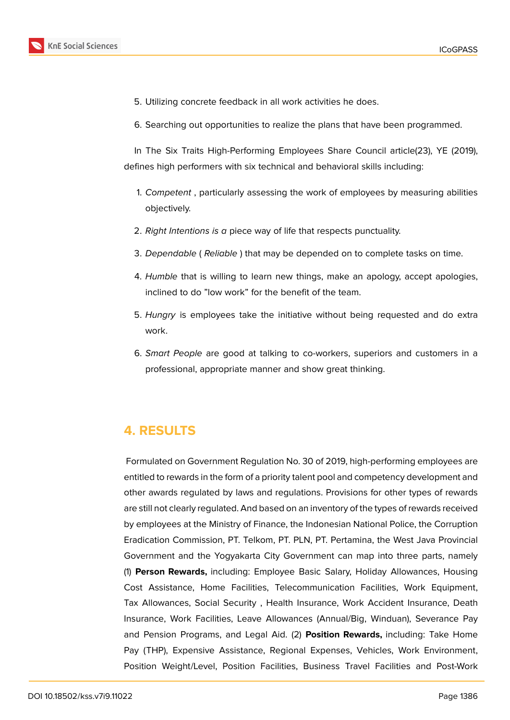

- 5. Utilizing concrete feedback in all work activities he does.
- 6. Searching out opportunities to realize the plans that have been programmed.

In The Six Traits High-Performing Employees Share Council article(23), YE (2019), defines high performers with six technical and behavioral skills including:

- 1. *Competent* , particularly assessing the work of employees by measuring abilities objectively.
- 2. *Right Intentions is a* piece way of life that respects punctuality.
- 3. *Dependable* ( *Reliable* ) that may be depended on to complete tasks on time.
- 4. *Humble* that is willing to learn new things, make an apology, accept apologies, inclined to do "low work" for the benefit of the team.
- 5. *Hungry* is employees take the initiative without being requested and do extra work.
- 6. *Smart People* are good at talking to co-workers, superiors and customers in a professional, appropriate manner and show great thinking.

## **4. RESULTS**

Formulated on Government Regulation No. 30 of 2019, high-performing employees are entitled to rewards in the form of a priority talent pool and competency development and other awards regulated by laws and regulations. Provisions for other types of rewards are still not clearly regulated. And based on an inventory of the types of rewards received by employees at the Ministry of Finance, the Indonesian National Police, the Corruption Eradication Commission, PT. Telkom, PT. PLN, PT. Pertamina, the West Java Provincial Government and the Yogyakarta City Government can map into three parts, namely (1) **Person Rewards,** including: Employee Basic Salary, Holiday Allowances, Housing Cost Assistance, Home Facilities, Telecommunication Facilities, Work Equipment, Tax Allowances, Social Security , Health Insurance, Work Accident Insurance, Death Insurance, Work Facilities, Leave Allowances (Annual/Big, Winduan), Severance Pay and Pension Programs, and Legal Aid. (2) **Position Rewards,** including: Take Home Pay (THP), Expensive Assistance, Regional Expenses, Vehicles, Work Environment, Position Weight/Level, Position Facilities, Business Travel Facilities and Post-Work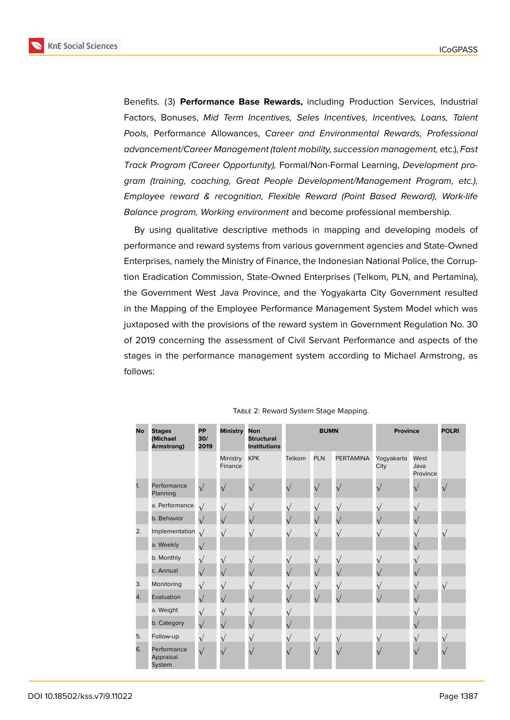**KnE Social Sciences** 



Benefits. (3) **Performance Base Rewards,** including Production Services, Industrial Factors, Bonuses, *Mid Term Incentives, Seles Incentives, Incentives, Loans, Talent Pools,* Performance Allowances, *Career and Environmental Rewards, Professional advancement/Career Management (talent mobility, succession management,* etc.), *Fast Track Program (Career Opportunity),* Formal/Non-Formal Learning, *Development program (training, coaching, Great People Development/Management Program, etc.), Employee reward & recognition, Flexible Reward (Point Based Reward), Work-life Balance program, Working environment* and become professional membership.

By using qualitative descriptive methods in mapping and developing models of performance and reward systems from various government agencies and State-Owned Enterprises, namely the Ministry of Finance, the Indonesian National Police, the Corruption Eradication Commission, State-Owned Enterprises (Telkom, PLN, and Pertamina), the Government West Java Province, and the Yogyakarta City Government resulted in the Mapping of the Employee Performance Management System Model which was juxtaposed with the provisions of the reward system in Government Regulation No. 30 of 2019 concerning the assessment of Civil Servant Performance and aspects of the stages in the performance management system according to Michael Armstrong, as follows:

| <b>No</b> | <b>Stages</b><br>(Michael<br>Armstrong) | <b>PP</b><br>30/<br>2019 | Ministry Non        | <b>Structural</b><br><b>Institutions</b> | <b>BUMN</b> |            | <b>Province</b>  |                    | <b>POLRI</b>             |  |
|-----------|-----------------------------------------|--------------------------|---------------------|------------------------------------------|-------------|------------|------------------|--------------------|--------------------------|--|
|           |                                         |                          | Ministry<br>Finance | <b>KPK</b>                               | Telkom      | <b>PLN</b> | <b>PERTAMINA</b> | Yogyakarta<br>City | West<br>Java<br>Province |  |
| 1.        | Performance<br>Planning                 |                          | $\sqrt{}$           | $\mathbf{v}$                             | $\sqrt{}$   |            |                  |                    | $\sqrt{}$                |  |
|           | a. Performance                          | $\sqrt{}$                | $\sqrt{}$           |                                          | $\sqrt{}$   | $\sqrt{}$  |                  |                    | $\sqrt{}$                |  |
|           | b. Behavior                             | $\sqrt{}$                | $\sqrt{}$           |                                          | $\sqrt{}$   | $\sqrt{}$  |                  |                    | $\sqrt{}$                |  |
| 2.        | Implementation                          | $\sqrt{}$                | $\sqrt{}$           |                                          | $\sqrt{ }$  | $\sqrt{}$  | $_{\mathsf{V}}$  |                    | $\sqrt{}$                |  |
|           | a. Weekly                               |                          |                     |                                          |             |            |                  |                    | $\sqrt{}$                |  |
|           | b. Monthly                              | $\sqrt{}$                | $\sqrt{}$           |                                          | $\sqrt{}$   | $\sqrt{}$  |                  |                    | $\sqrt{}$                |  |
|           | c. Annual                               | $\sqrt{}$                | $\sqrt{}$           |                                          | $\sqrt{}$   |            |                  |                    |                          |  |
| 3.        | Monitoring                              | $\sqrt{}$                |                     |                                          | $\sqrt{}$   | $\sqrt{}$  |                  |                    | $\sqrt{}$                |  |
| 4.        | Evaluation                              | $\sqrt{}$                | $\sqrt{}$           |                                          | $\sqrt{}$   | $\sqrt{}$  |                  |                    |                          |  |
|           | a. Weight                               | $\sqrt{}$                | $\sqrt{}$           |                                          |             |            |                  |                    |                          |  |
|           | b. Category                             | $\sqrt{}$                | $\sqrt{}$           |                                          | $\sqrt{}$   |            |                  |                    |                          |  |
| 5.        | Follow-up                               | $\sqrt{}$                | $\sqrt{}$           |                                          | $\sqrt{}$   | $\sqrt{}$  | $\sqrt{}$        |                    | $\sqrt{ }$               |  |
| 6.        | Performance<br>Appraisal<br>System      | $\sqrt{}$                | $\sqrt{}$           |                                          | $\sqrt{ }$  | $\sqrt{}$  |                  |                    | $\sqrt{}$                |  |

#### TABLE 2: Reward System Stage Mapping.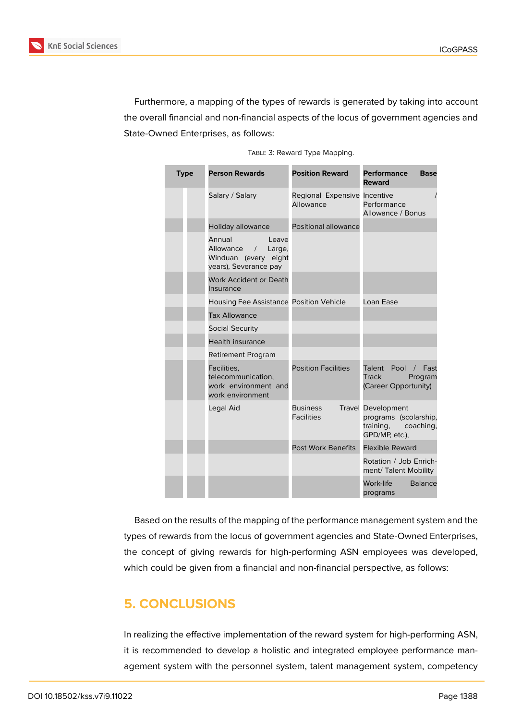

Furthermore, a mapping of the types of rewards is generated by taking into account the overall financial and non-financial aspects of the locus of government agencies and State-Owned Enterprises, as follows:

|  | TABLE 3: Reward Type Mapping. |
|--|-------------------------------|
|  |                               |

| <b>Type</b> | <b>Person Rewards</b>                                                                                 | <b>Position Reward</b>                    | <b>Performance</b><br><b>Base</b><br><b>Reward</b>                                             |  |
|-------------|-------------------------------------------------------------------------------------------------------|-------------------------------------------|------------------------------------------------------------------------------------------------|--|
|             | Salary / Salary                                                                                       | Regional Expensive Incentive<br>Allowance | Performance<br>Allowance / Bonus                                                               |  |
|             | Holiday allowance                                                                                     | Positional allowance                      |                                                                                                |  |
|             | Annual<br>Leave<br>Allowance<br>Large,<br>$\sqrt{2}$<br>Winduan (every eight<br>years), Severance pay |                                           |                                                                                                |  |
|             | <b>Work Accident or Death</b><br>Insurance                                                            |                                           |                                                                                                |  |
|             | Housing Fee Assistance Position Vehicle                                                               |                                           | Loan Ease                                                                                      |  |
|             | <b>Tax Allowance</b>                                                                                  |                                           |                                                                                                |  |
|             | <b>Social Security</b>                                                                                |                                           |                                                                                                |  |
|             | <b>Health insurance</b>                                                                               |                                           |                                                                                                |  |
|             | <b>Retirement Program</b>                                                                             |                                           |                                                                                                |  |
|             | Facilities,<br>telecommunication,<br>work environment and<br>work environment                         | <b>Position Facilities</b>                | Talent Pool<br>/ Fast<br><b>Track</b><br>Program<br>(Career Opportunity)                       |  |
|             | Legal Aid                                                                                             | <b>Business</b><br><b>Facilities</b>      | <b>Travel Development</b><br>programs (scolarship,<br>training,<br>coaching,<br>GPD/MP, etc.), |  |
|             |                                                                                                       | Post Work Benefits                        | <b>Flexible Reward</b>                                                                         |  |
|             |                                                                                                       |                                           | Rotation / Job Enrich-<br>ment/ Talent Mobility                                                |  |
|             |                                                                                                       |                                           | Work-life<br><b>Balance</b><br>programs                                                        |  |

Based on the results of the mapping of the performance management system and the types of rewards from the locus of government agencies and State-Owned Enterprises, the concept of giving rewards for high-performing ASN employees was developed, which could be given from a financial and non-financial perspective, as follows:

## **5. CONCLUSIONS**

In realizing the effective implementation of the reward system for high-performing ASN, it is recommended to develop a holistic and integrated employee performance management system with the personnel system, talent management system, competency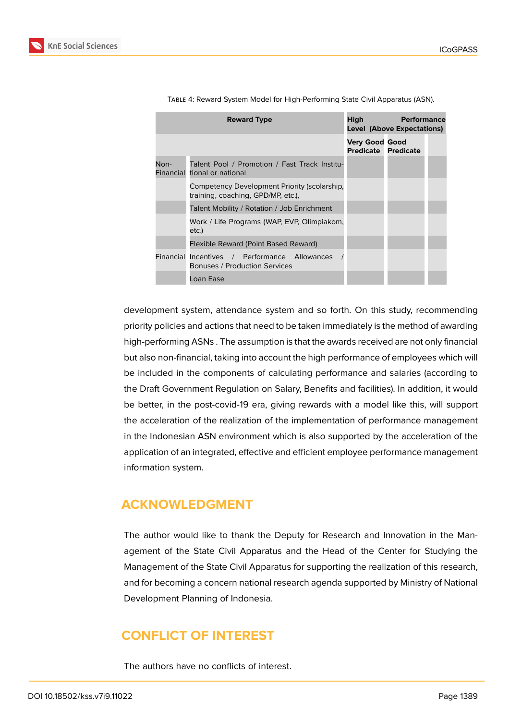

|      | <b>Reward Type</b>                                                                 | High<br><b>Performance</b><br><b>Level (Above Expectations)</b> |  |  |
|------|------------------------------------------------------------------------------------|-----------------------------------------------------------------|--|--|
|      |                                                                                    | <b>Very Good Good</b><br><b>Predicate Predicate</b>             |  |  |
| Non- | Talent Pool / Promotion / Fast Track Institu-<br>Financial tional or national      |                                                                 |  |  |
|      | Competency Development Priority (scolarship,<br>training, coaching, GPD/MP, etc.), |                                                                 |  |  |
|      | Talent Mobility / Rotation / Job Enrichment                                        |                                                                 |  |  |
|      | Work / Life Programs (WAP, EVP, Olimpiakom,<br>etc.)                               |                                                                 |  |  |
|      | Flexible Reward (Point Based Reward)                                               |                                                                 |  |  |
|      | Financial Incentives / Performance Allowances<br>Bonuses / Production Services     |                                                                 |  |  |
|      | Loan Ease                                                                          |                                                                 |  |  |

Table 4: Reward System Model for High-Performing State Civil Apparatus (ASN).

development system, attendance system and so forth. On this study, recommending priority policies and actions that need to be taken immediately is the method of awarding high-performing ASNs . The assumption is that the awards received are not only financial but also non-financial, taking into account the high performance of employees which will be included in the components of calculating performance and salaries (according to the Draft Government Regulation on Salary, Benefits and facilities). In addition, it would be better, in the post-covid-19 era, giving rewards with a model like this, will support the acceleration of the realization of the implementation of performance management in the Indonesian ASN environment which is also supported by the acceleration of the application of an integrated, effective and efficient employee performance management information system.

### **ACKNOWLEDGMENT**

The author would like to thank the Deputy for Research and Innovation in the Management of the State Civil Apparatus and the Head of the Center for Studying the Management of the State Civil Apparatus for supporting the realization of this research, and for becoming a concern national research agenda supported by Ministry of National Development Planning of Indonesia.

### **CONFLICT OF INTEREST**

The authors have no conflicts of interest.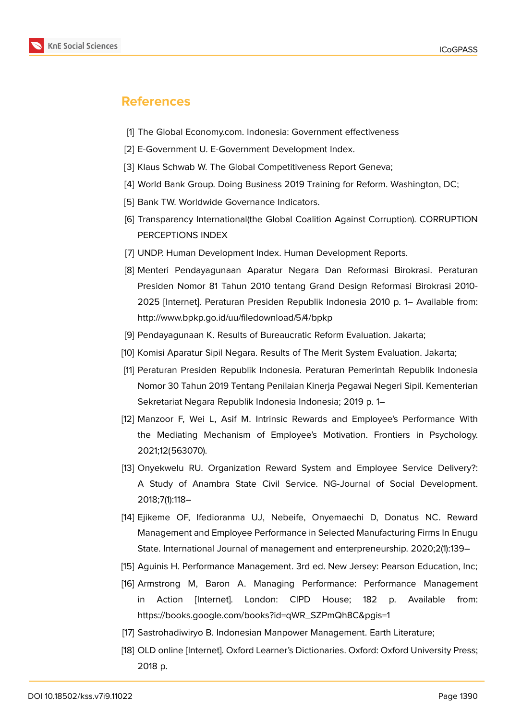

### **References**

- [1] The Global Economy.com. Indonesia: Government effectiveness
- [2] E-Government U. E-Government Development Index.
- [3] Klaus Schwab W. The Global Competitiveness Report Geneva;
- [4] World Bank Group. Doing Business 2019 Training for Reform. Washington, DC;
- [5] Bank TW. Worldwide Governance Indicators.
- [6] Transparency International(the Global Coalition Against Corruption). CORRUPTION PERCEPTIONS INDEX
- [7] UNDP. Human Development Index. Human Development Reports.
- [8] Menteri Pendayagunaan Aparatur Negara Dan Reformasi Birokrasi. Peraturan Presiden Nomor 81 Tahun 2010 tentang Grand Design Reformasi Birokrasi 2010- 2025 [Internet]. Peraturan Presiden Republik Indonesia 2010 p. 1– Available from: http://www.bpkp.go.id/uu/filedownload/5/4/bpkp
- [9] Pendayagunaan K. Results of Bureaucratic Reform Evaluation. Jakarta;
- [10] Komisi Aparatur Sipil Negara. Results of The Merit System Evaluation. Jakarta;
- [11] Peraturan Presiden Republik Indonesia. Peraturan Pemerintah Republik Indonesia Nomor 30 Tahun 2019 Tentang Penilaian Kinerja Pegawai Negeri Sipil. Kementerian Sekretariat Negara Republik Indonesia Indonesia; 2019 p. 1–
- [12] Manzoor F, Wei L, Asif M. Intrinsic Rewards and Employee's Performance With the Mediating Mechanism of Employee's Motivation. Frontiers in Psychology. 2021;12(563070).
- [13] Onyekwelu RU. Organization Reward System and Employee Service Delivery?: A Study of Anambra State Civil Service. NG-Journal of Social Development. 2018;7(1):118–
- [14] Ejikeme OF, Ifedioranma UJ, Nebeife, Onyemaechi D, Donatus NC. Reward Management and Employee Performance in Selected Manufacturing Firms In Enugu State. International Journal of management and enterpreneurship. 2020;2(1):139–
- [15] Aguinis H. Performance Management. 3rd ed. New Jersey: Pearson Education, Inc;
- [16] Armstrong M, Baron A. Managing Performance: Performance Management in Action [Internet]. London: CIPD House; 182 p. Available from: https://books.google.com/books?id=qWR\_SZPmQh8C&pgis=1
- [17] Sastrohadiwiryo B. Indonesian Manpower Management. Earth Literature;
- [18] OLD online [Internet]. Oxford Learner's Dictionaries. Oxford: Oxford University Press; 2018 p.